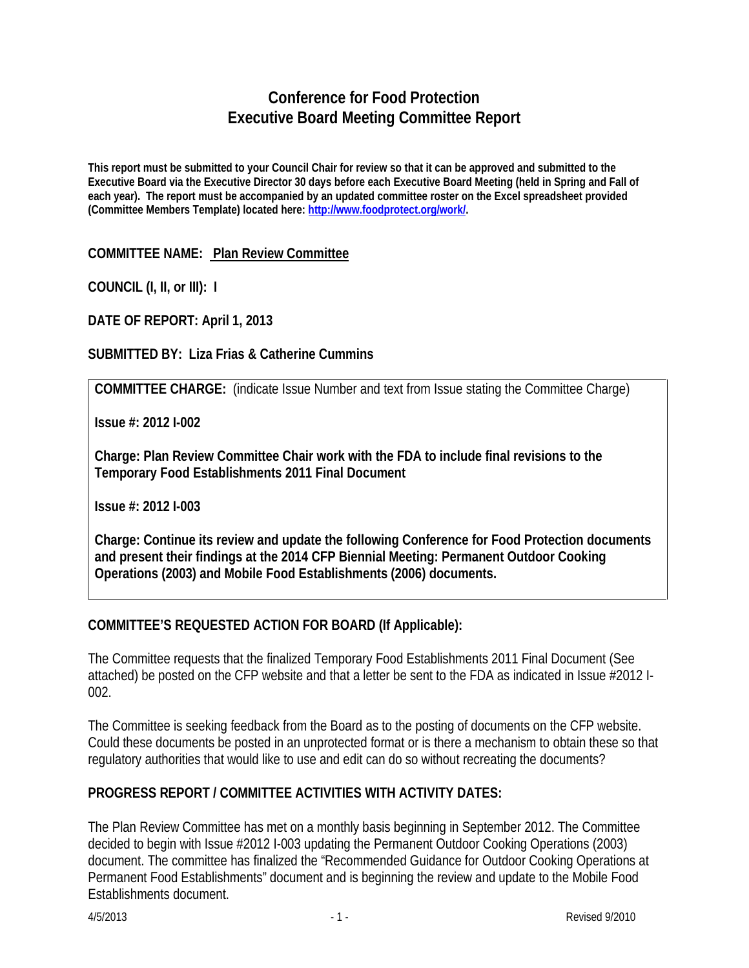# **Conference for Food Protection Executive Board Meeting Committee Report**

**This report must be submitted to your Council Chair for review so that it can be approved and submitted to the Executive Board via the Executive Director 30 days before each Executive Board Meeting (held in Spring and Fall of each year). The report must be accompanied by an updated committee roster on the Excel spreadsheet provided (Committee Members Template) located here: [http://www.foodprotect.org/work/.](http://www.foodprotect.org/work/)**

### **COMMITTEE NAME: Plan Review Committee**

**COUNCIL (I, II, or III): I**

**DATE OF REPORT: April 1, 2013**

### **SUBMITTED BY: Liza Frias & Catherine Cummins**

**COMMITTEE CHARGE:** (indicate Issue Number and text from Issue stating the Committee Charge)

**Issue #: 2012 I-002** 

**Charge: Plan Review Committee Chair work with the FDA to include final revisions to the Temporary Food Establishments 2011 Final Document**

**Issue #: 2012 I-003**

**Charge: Continue its review and update the following Conference for Food Protection documents and present their findings at the 2014 CFP Biennial Meeting: Permanent Outdoor Cooking Operations (2003) and Mobile Food Establishments (2006) documents.** 

# **COMMITTEE'S REQUESTED ACTION FOR BOARD (If Applicable):**

The Committee requests that the finalized Temporary Food Establishments 2011 Final Document (See attached) be posted on the CFP website and that a letter be sent to the FDA as indicated in Issue #2012 I-002.

The Committee is seeking feedback from the Board as to the posting of documents on the CFP website. Could these documents be posted in an unprotected format or is there a mechanism to obtain these so that regulatory authorities that would like to use and edit can do so without recreating the documents?

# **PROGRESS REPORT / COMMITTEE ACTIVITIES WITH ACTIVITY DATES:**

The Plan Review Committee has met on a monthly basis beginning in September 2012. The Committee decided to begin with Issue #2012 I-003 updating the Permanent Outdoor Cooking Operations (2003) document. The committee has finalized the "Recommended Guidance for Outdoor Cooking Operations at Permanent Food Establishments" document and is beginning the review and update to the Mobile Food Establishments document.